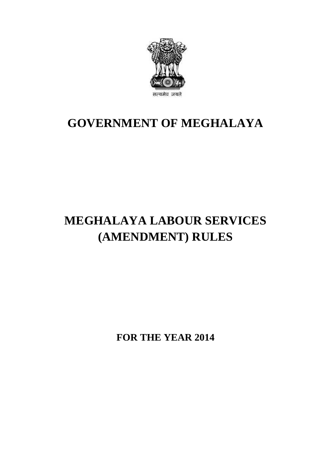

## **GOVERNMENT OF MEGHALAYA**

# **MEGHALAYA LABOUR SERVICES (AMENDMENT) RULES**

**FOR THE YEAR 2014**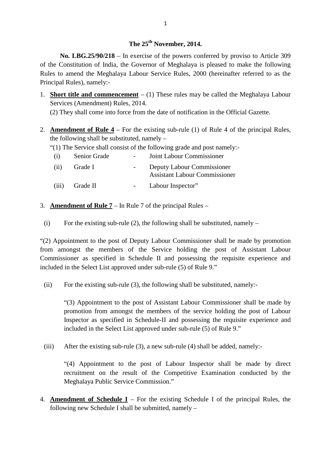## **The 25th November, 2014.**

**No. LBG.25/90/218** – In exercise of the powers conferred by proviso to Article 309 of the Constitution of India, the Governor of Meghalaya is pleased to make the following Rules to amend the Meghalaya Labour Service Rules, 2000 (hereinafter referred to as the Principal Rules), namely:-

1. **Short title and commencement** – (1) These rules may be called the Meghalaya Labour Services (Amendment) Rules, 2014. es to amend the Meghalaya Labour Service Rules, 2000 (hereinafter referred to as icipal Rules), namely:-<br>
Short title and commencement – (1) These rules may be called the Meghalaya Lab<br>
Services (Amendment) Rules, 2014.<br>
(

(2) They shall come into force from the date of notification in the Official Gazette.

2. **Amendment of Rule 4** – For the existing sub-rule (1) of Rule 4 of the principal Rules, the following shall be substituted, namely –

|       |                                             | <b>Amendment of Rule 4</b> – For the existing sub-rule (1) of Rule 4 of the $p$ |
|-------|---------------------------------------------|---------------------------------------------------------------------------------|
|       | he following shall be substituted, namely – |                                                                                 |
|       |                                             | (1) The Service shall consist of the following grade and post namely:-          |
| (i)   | Senior Grade                                | Joint Labour Commissioner                                                       |
| (ii)  | Grade I                                     | Deputy Labour Commissioner<br><b>Assistant Labour Commissioner</b>              |
| (iii) | Grade II                                    | Labour Inspector"                                                               |
|       |                                             |                                                                                 |

- 3. **Amendment of Rule 7** In Rule 7 of the principal Rules –
- (iii) Grade II Labour Inspector"<br>
. **Amendment of Rule 7** In Rule 7 of the principal Rules –<br>
(i) For the existing sub-rule (2), the following shall be substituted, namely –

(i) For the existing sub-rule (2), the following shall be substituted, namely –<br>
"(2) Appointment to the post of Deputy Labour Commissioner shall be made by promotion from amongst the members of the Service holding the post of Assistant Labour<br>
Commissioner as specified in Schedule II and possessing the requisite experience and<br>
included in the Select List approved under sub-rule (5) of Commissioner as specified in Schedule II and possessing the requisite experience and included in the Select List approved under sub-rule (5) of Rule 9."

For the existing sub-rule (3), the following shall be substituted, namely:<br>
"(3) Appointment to the post of Assistant Labour Commissioner shall be made by promotion from amongst the members of the service holding the post of Labour<br>Inspector as specified in Schedule-II and possessing the requisite experience and<br>included in the Select List approved under sub-rule (5) of Rule Inspector as specified in Schedule-II and possessing the requisite experience and included in the Select List approved under sub-rule (5) of Rule 9."

"(4) Appointment to the post of Labour Inspector shall be made by direct recruitment on the result of the Competitive Examination conducted by the Meghalaya Public Service Commission." Following new Schedule I shall be submitted, namely –<br>following new Schedule I shall be submitted, namely –

4. **Amendment of Schedule I** – For the existing Schedule I of the principal Rules, the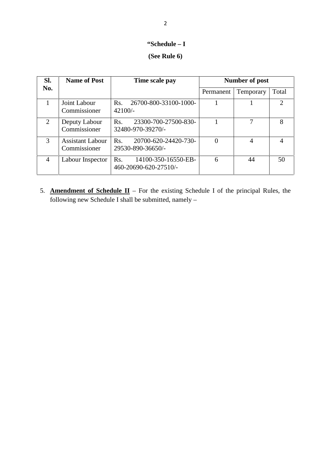# **"Schedule – <sup>I</sup>** 2<br>**(Schedule – I)**<br>**(See Rule 6)**

|                |                                         | "Schedule $-I$                                      |                       |                |                |
|----------------|-----------------------------------------|-----------------------------------------------------|-----------------------|----------------|----------------|
|                |                                         | (See Rule 6)                                        |                       |                |                |
| SI.            | <b>Name of Post</b>                     | Time scale pay                                      | <b>Number of post</b> |                |                |
| No.            |                                         |                                                     | Permanent             | Temporary      | Total          |
| 1              | Joint Labour<br>Commissioner            | Rs.<br>26700-800-33100-1000-<br>$42100/-$           | 1                     |                | $\overline{2}$ |
| 2              | Deputy Labour<br>Commissioner           | Rs.<br>23300-700-27500-830-<br>32480-970-39270/-    |                       | 7              | 8              |
| 3              | <b>Assistant Labour</b><br>Commissioner | 20700-620-24420-730-<br>Rs.<br>29530-890-36650/-    | $\Omega$              | $\overline{4}$ | $\overline{4}$ |
| $\overline{4}$ | Labour Inspector                        | 14100-350-16550-EB-<br>Rs.<br>460-20690-620-27510/- | 6                     | 44             | 50             |

5. **Amendment of Schedule II** – For the existing Schedule I of the principal Rules, the following new Schedule I shall be submitted, namely –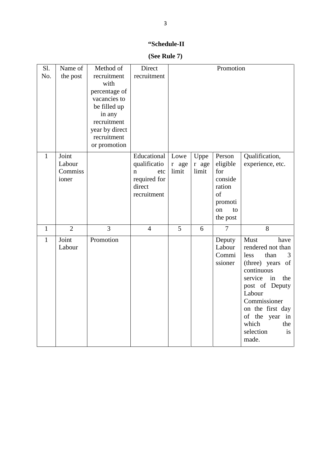### **"Schedule-II**

**(See Rule 7)**

|              |                                     |                                                                                                                                                             | "Schedule-II                                                                               |                        |                        |                                                                                         |                                                                                                                                                                                                                                                |
|--------------|-------------------------------------|-------------------------------------------------------------------------------------------------------------------------------------------------------------|--------------------------------------------------------------------------------------------|------------------------|------------------------|-----------------------------------------------------------------------------------------|------------------------------------------------------------------------------------------------------------------------------------------------------------------------------------------------------------------------------------------------|
|              |                                     |                                                                                                                                                             | (See Rule 7)                                                                               |                        |                        |                                                                                         |                                                                                                                                                                                                                                                |
| Sl.<br>No.   | Name of<br>the post                 | Method of<br>recruitment<br>with<br>percentage of<br>vacancies to<br>be filled up<br>in any<br>recruitment<br>year by direct<br>recruitment<br>or promotion | Direct<br>recruitment                                                                      | Promotion              |                        |                                                                                         |                                                                                                                                                                                                                                                |
| $\mathbf{1}$ | Joint<br>Labour<br>Commiss<br>ioner |                                                                                                                                                             | Educational<br>qualificatio<br>etc<br>$\mathbf n$<br>required for<br>direct<br>recruitment | Lowe<br>r age<br>limit | Uppe<br>r age<br>limit | Person<br>eligible<br>for<br>conside<br>ration<br>of<br>promoti<br>on<br>to<br>the post | Qualification,<br>experience, etc.                                                                                                                                                                                                             |
| $\mathbf{1}$ | $\overline{2}$                      | 3                                                                                                                                                           | $\overline{4}$                                                                             | 5                      | 6                      | $\overline{7}$                                                                          | 8                                                                                                                                                                                                                                              |
| $\mathbf{1}$ | Joint<br>Labour                     | Promotion                                                                                                                                                   |                                                                                            |                        |                        | Deputy<br>Labour<br>Commi<br>ssioner                                                    | Must<br>have<br>rendered not than<br>less<br>than<br>3<br>(three) years of<br>continuous<br>in<br>the<br>service<br>post of Deputy<br>Labour<br>Commissioner<br>on the first day<br>of the year in<br>which<br>the<br>selection<br>is<br>made. |